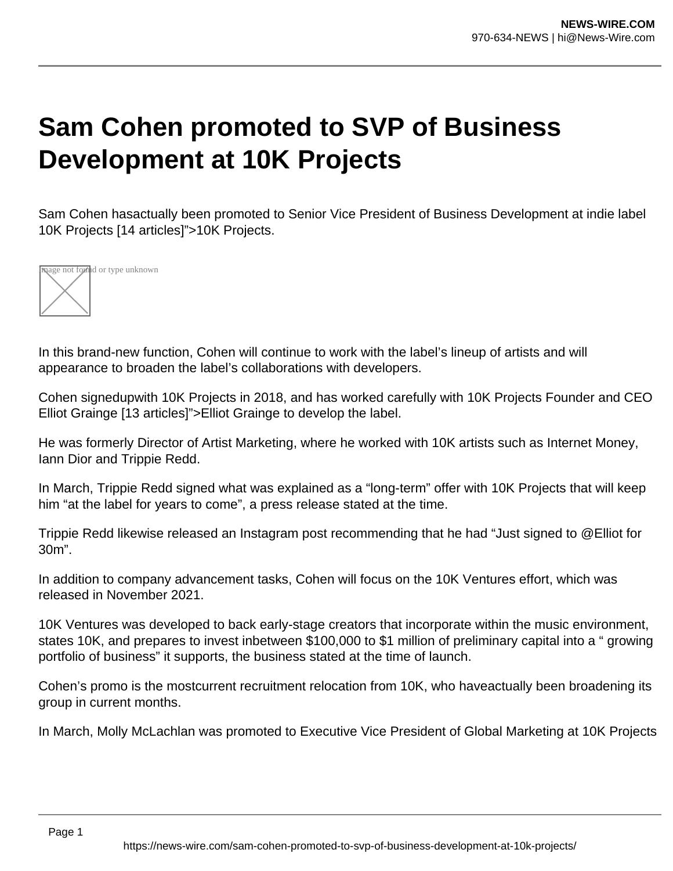## **Sam Cohen promoted to SVP of Business Development at 10K Projects**

Sam Cohen hasactually been promoted to Senior Vice President of Business Development at indie label 10K Projects [14 articles]">10K Projects.



In this brand-new function, Cohen will continue to work with the label's lineup of artists and will appearance to broaden the label's collaborations with developers.

Cohen signedupwith 10K Projects in 2018, and has worked carefully with 10K Projects Founder and CEO Elliot Grainge [13 articles]">Elliot Grainge to develop the label.

He was formerly Director of Artist Marketing, where he worked with 10K artists such as Internet Money, Iann Dior and Trippie Redd.

In March, Trippie Redd signed what was explained as a "long-term" offer with 10K Projects that will keep him "at the label for years to come", a press release stated at the time.

Trippie Redd likewise released an Instagram post recommending that he had "Just signed to @Elliot for 30m".

In addition to company advancement tasks, Cohen will focus on the 10K Ventures effort, which was released in November 2021.

10K Ventures was developed to back early-stage creators that incorporate within the music environment, states 10K, and prepares to invest inbetween \$100,000 to \$1 million of preliminary capital into a " growing portfolio of business" it supports, the business stated at the time of launch.

Cohen's promo is the mostcurrent recruitment relocation from 10K, who haveactually been broadening its group in current months.

In March, Molly McLachlan was promoted to Executive Vice President of Global Marketing at 10K Projects